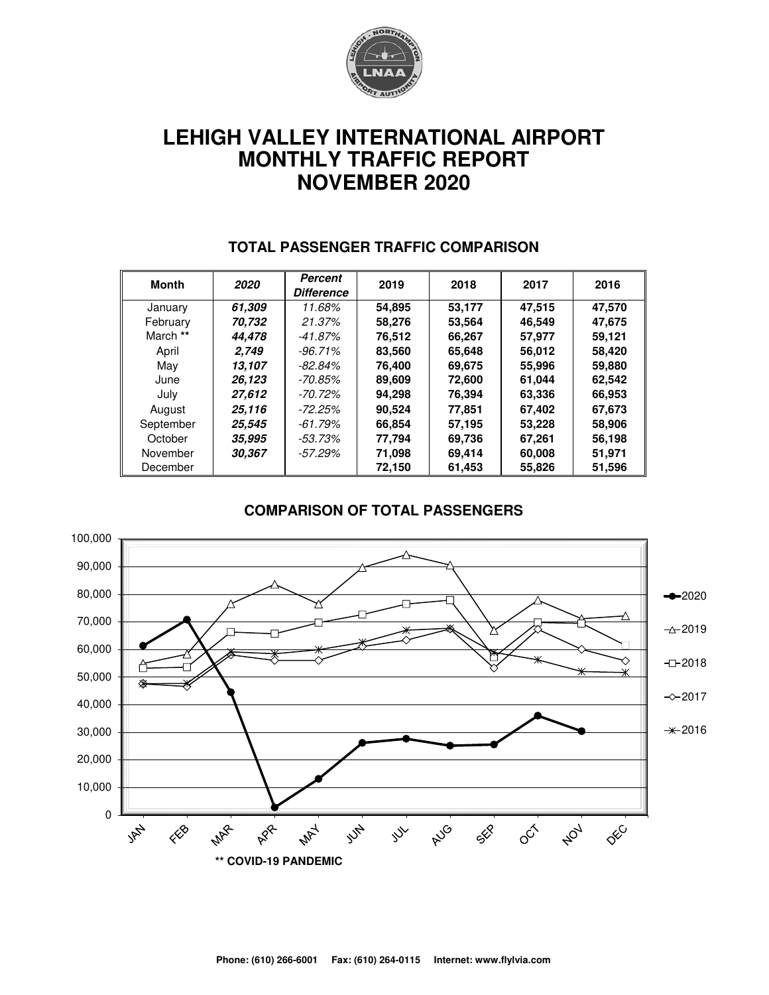

# **LEHIGH VALLEY INTERNATIONAL AIRPORT MONTHLY TRAFFIC REPORT NOVEMBER 2020**

| Month     | 2020   | Percent<br><b>Difference</b> | 2019   | 2018   | 2017   | 2016   |
|-----------|--------|------------------------------|--------|--------|--------|--------|
| January   | 61.309 | 11.68%                       | 54,895 | 53,177 | 47,515 | 47,570 |
| February  | 70.732 | 21.37%                       | 58,276 | 53.564 | 46.549 | 47,675 |
| March **  | 44.478 | -41.87%                      | 76,512 | 66,267 | 57,977 | 59.121 |
| April     | 2.749  | $-96.71\%$                   | 83,560 | 65,648 | 56,012 | 58,420 |
| May       | 13.107 | -82.84%                      | 76.400 | 69,675 | 55,996 | 59,880 |
| June      | 26,123 | -70.85%                      | 89,609 | 72,600 | 61,044 | 62,542 |
| July      | 27,612 | -70.72%                      | 94.298 | 76,394 | 63,336 | 66,953 |
| August    | 25,116 | $-72.25%$                    | 90,524 | 77,851 | 67,402 | 67,673 |
| September | 25.545 | -61.79%                      | 66.854 | 57,195 | 53,228 | 58,906 |
| October   | 35.995 | -53.73%                      | 77,794 | 69,736 | 67,261 | 56,198 |
| November  | 30.367 | $-57.29%$                    | 71,098 | 69,414 | 60,008 | 51,971 |
| December  |        |                              | 72,150 | 61,453 | 55,826 | 51,596 |

#### **TOTAL PASSENGER TRAFFIC COMPARISON**

#### **COMPARISON OF TOTAL PASSENGERS**

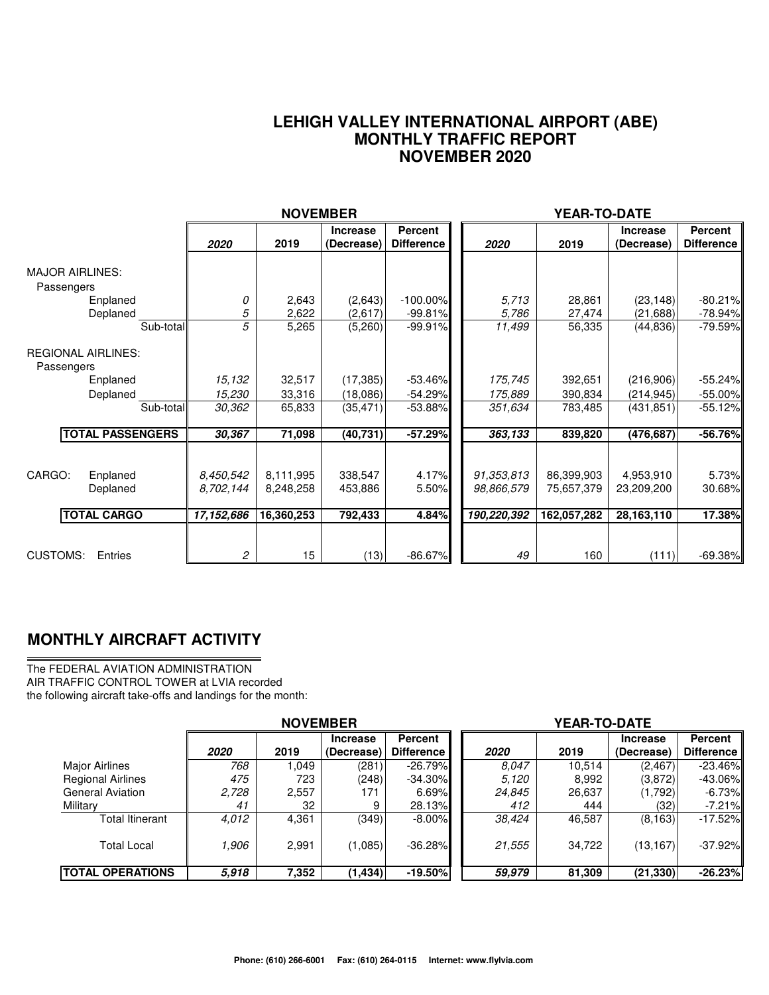#### **LEHIGH VALLEY INTERNATIONAL AIRPORT (ABE) MONTHLY TRAFFIC REPORT NOVEMBER 2020**

|                                         |            | <b>NOVEMBER</b>  |                               |                              | <b>YEAR-TO-DATE</b> |                  |                               |                                     |  |
|-----------------------------------------|------------|------------------|-------------------------------|------------------------------|---------------------|------------------|-------------------------------|-------------------------------------|--|
|                                         | 2020       | 2019             | <b>Increase</b><br>(Decrease) | Percent<br><b>Difference</b> | 2020                | 2019             | <b>Increase</b><br>(Decrease) | <b>Percent</b><br><b>Difference</b> |  |
| <b>MAJOR AIRLINES:</b><br>Passengers    |            |                  |                               |                              |                     |                  |                               |                                     |  |
| Enplaned<br>Deplaned                    | 0<br>5     | 2,643<br>2,622   | (2,643)<br>(2,617)            | $-100.00\%$<br>$-99.81%$     | 5.713<br>5,786      | 28,861<br>27,474 | (23, 148)<br>(21, 688)        | $-80.21%$<br>$-78.94\%$             |  |
| Sub-total                               | 5          | 5,265            | (5,260)                       | $-99.91%$                    | 11,499              | 56,335           | (44, 836)                     | $-79.59%$                           |  |
| <b>REGIONAL AIRLINES:</b><br>Passengers |            |                  |                               |                              |                     |                  |                               |                                     |  |
| Enplaned                                | 15,132     | 32,517           | (17, 385)                     | $-53.46%$                    | 175,745             | 392,651          | (216,906)                     | $-55.24%$                           |  |
| Deplaned                                | 15,230     | 33,316           | (18,086)                      | $-54.29%$                    | 175,889             | 390,834          | (214, 945)                    | $-55.00\%$                          |  |
| Sub-total                               | 30,362     | 65,833           | (35, 471)                     | $-53.88%$                    | 351,634             | 783,485          | (431, 851)                    | $-55.12%$                           |  |
| <b>TOTAL PASSENGERS</b>                 | 30,367     | 71,098           | (40, 731)                     | $-57.29%$                    | 363,133             | 839,820          | (476, 687)                    | $-56.76%$                           |  |
|                                         |            |                  |                               |                              |                     |                  |                               |                                     |  |
| CARGO:<br>Enplaned                      | 8,450,542  | 8,111,995        | 338,547                       | 4.17%                        | 91,353,813          | 86,399,903       | 4,953,910                     | 5.73%                               |  |
| Deplaned                                | 8,702,144  | 8,248,258        | 453,886                       | 5.50%                        | 98.866.579          | 75,657,379       | 23,209,200                    | 30.68%                              |  |
| <b>TOTAL CARGO</b>                      | 17,152,686 | 16,360,253       | 792,433                       | 4.84%                        | 190,220,392         | 162,057,282      | 28,163,110                    | 17.38%                              |  |
|                                         |            |                  |                               |                              |                     |                  |                               |                                     |  |
| <b>CUSTOMS:</b><br>Entries              | 2          | 15 <sub>15</sub> | (13)                          | $-86.67\%$                   | 49                  | 160              | (111)                         | $-69.38%$                           |  |

### **MONTHLY AIRCRAFT ACTIVITY**

The FEDERAL AVIATION ADMINISTRATION AIR TRAFFIC CONTROL TOWER at LVIA recorded the following aircraft take-offs and landings for the month:

|                          | <b>NOVEMBER</b> |       |                               |                                     |  | YEAR-TO-DATE |        |                               |                              |  |  |
|--------------------------|-----------------|-------|-------------------------------|-------------------------------------|--|--------------|--------|-------------------------------|------------------------------|--|--|
|                          | 2020            | 2019  | <b>Increase</b><br>(Decrease) | <b>Percent</b><br><b>Difference</b> |  | 2020         | 2019   | <b>Increase</b><br>(Decrease) | Percent<br><b>Difference</b> |  |  |
| <b>Major Airlines</b>    | 768             | 1.049 | (281)                         | $-26.79\%$                          |  | 8.047        | 10,514 | (2, 467)                      | $-23.46\%$                   |  |  |
| <b>Regional Airlines</b> | 475             | 723   | (248)                         | $-34.30\%$                          |  | 5.120        | 8,992  | (3,872)                       | $-43.06\%$                   |  |  |
| <b>General Aviation</b>  | 2,728           | 2,557 | 171                           | $6.69\%$                            |  | 24,845       | 26,637 | (1,792)                       | -6.73%II                     |  |  |
| Military                 | 41              | 32    | 9                             | 28.13%                              |  | 412          | 444    | (32)                          | $-7.21\%$                    |  |  |
| Total Itinerant          | 4,012           | 4,361 | (349)                         | $-8.00\%$                           |  | 38,424       | 46,587 | (8, 163)                      | $-17.52\%$                   |  |  |
| <b>Total Local</b>       | 1.906           | 2.991 | (1,085)                       | $-36.28\%$                          |  | 21,555       | 34,722 | (13, 167)                     | $-37.92\%$                   |  |  |
| <b>ITOTAL OPERATIONS</b> | 5.918           | 7,352 | (1,434)                       | $-19.50%$                           |  | 59,979       | 81,309 | (21, 330)                     | $-26.23%$                    |  |  |